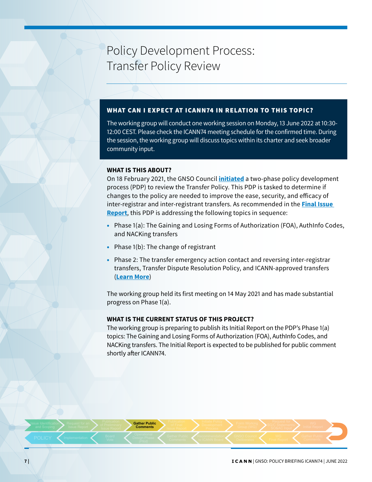# Policy Development Process: Transfer Policy Review

## WHAT CAN I EXPECT AT ICANN74 IN RELATION TO THIS TOPIC?

The working group will conduct one working session on Monday, 13 June 2022 at 10:30- 12:00 CEST. Please check the ICANN74 meeting schedule for the confirmed time. During the session, the working group will discuss topics within its charter and seek broader community input.

### **WHAT IS THIS ABOUT?**

On 18 February 2021, the GNSO Council **[initiated](https://gnso.icann.org/en/council/resolutions/2020-current#202102)** a two-phase policy development process (PDP) to review the Transfer Policy. This PDP is tasked to determine if changes to the policy are needed to improve the ease, security, and efficacy of inter-registrar and inter-registrant transfers. As recommended in the **[Final Issue](https://gnso.icann.org/sites/default/files/file/field-file-attach/final-issue-report-pdp-transfer-policy-review-12jan21-en.pdf)  [Report](https://gnso.icann.org/sites/default/files/file/field-file-attach/final-issue-report-pdp-transfer-policy-review-12jan21-en.pdf)**, this PDP is addressing the following topics in sequence:

- Phase 1(a): The Gaining and Losing Forms of Authorization (FOA), AuthInfo Codes, and NACKing transfers
- Phase 1(b): The change of registrant
- Phase 2: The transfer emergency action contact and reversing inter-registrar transfers, Transfer Dispute Resolution Policy, and ICANN-approved transfers (**[Learn More](https://gnso.icann.org/en/group-activities/active/transfer-policy-review)**)

The working group held its first meeting on 14 May 2021 and has made substantial progress on Phase 1(a).

## **WHAT IS THE CURRENT STATUS OF THIS PROJECT?**

The working group is preparing to publish its Initial Report on the PDP's Phase 1(a) topics: The Gaining and Losing Forms of Authorization (FOA), AuthInfo Codes, and NACKing transfers. The Initial Report is expected to be published for public comment shortly after ICANN74.